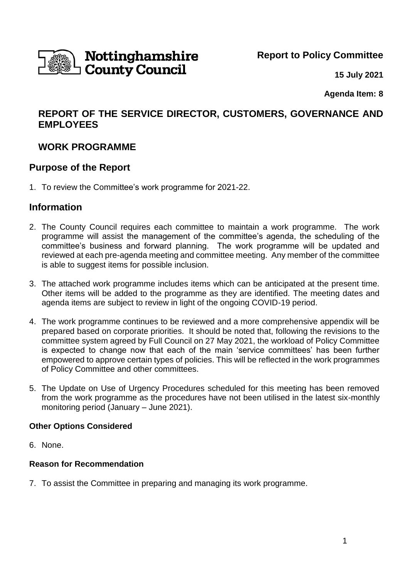

**Report to Policy Committee**

**15 July 2021**

**Agenda Item: 8** 

## **REPORT OF THE SERVICE DIRECTOR, CUSTOMERS, GOVERNANCE AND EMPLOYEES**

## **WORK PROGRAMME**

### **Purpose of the Report**

1. To review the Committee's work programme for 2021-22.

### **Information**

- 2. The County Council requires each committee to maintain a work programme. The work programme will assist the management of the committee's agenda, the scheduling of the committee's business and forward planning. The work programme will be updated and reviewed at each pre-agenda meeting and committee meeting. Any member of the committee is able to suggest items for possible inclusion.
- 3. The attached work programme includes items which can be anticipated at the present time. Other items will be added to the programme as they are identified. The meeting dates and agenda items are subject to review in light of the ongoing COVID-19 period.
- 4. The work programme continues to be reviewed and a more comprehensive appendix will be prepared based on corporate priorities. It should be noted that, following the revisions to the committee system agreed by Full Council on 27 May 2021, the workload of Policy Committee is expected to change now that each of the main 'service committees' has been further empowered to approve certain types of policies. This will be reflected in the work programmes of Policy Committee and other committees.
- 5. The Update on Use of Urgency Procedures scheduled for this meeting has been removed from the work programme as the procedures have not been utilised in the latest six-monthly monitoring period (January – June 2021).

### **Other Options Considered**

6. None.

### **Reason for Recommendation**

7. To assist the Committee in preparing and managing its work programme.